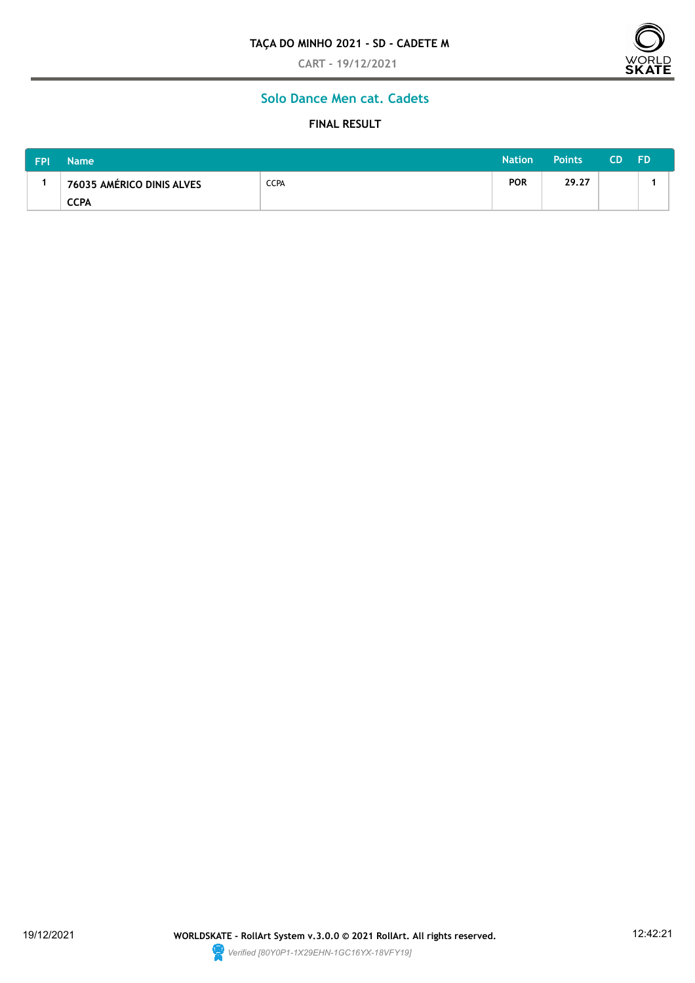**CART - 19/12/2021**



## **Solo Dance Men cat. Cadets**

## **FINAL RESULT**

| <b>FPI</b> | <b>Name</b>               | <b>Nation</b> | Points     | CD.   | <b>FD</b> |  |
|------------|---------------------------|---------------|------------|-------|-----------|--|
|            | 76035 AMÉRICO DINIS ALVES | <b>CCPA</b>   | <b>POR</b> | 29.27 |           |  |
|            | <b>CCPA</b>               |               |            |       |           |  |